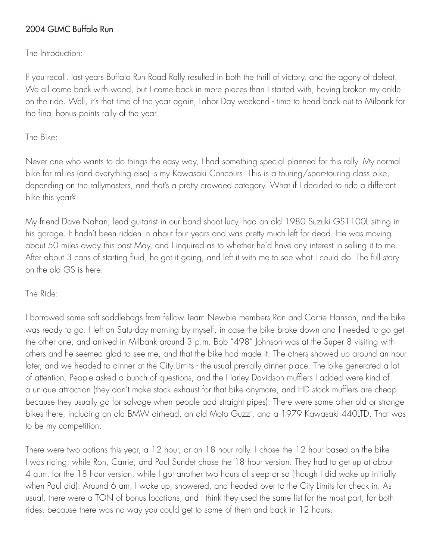# 2004 GLMC Buffalo Run

The Introduction:

If you recall, last years Buffalo Run Road Rally resulted in both the thrill of victory, and the agony of defeat. We all came back with wood, but I came back in more pieces than I started with, having broken my ankle on the ride. Well, it's that time of the year again, Labor Day weekend - time to head back out to Milbank for the final bonus points rally of the year.

## The Bike:

Never one who wants to do things the easy way, I had something special planned for this rally. My normal bike for rallies (and everything else) is my Kawasaki Concours. This is a touring/sport-touring class bike, depending on the rallymasters, and that's a pretty crowded category. What if I decided to ride a different bike this year?

My friend Dave Nahan, lead guitarist in our band shoot lucy, had an old 1980 Suzuki GS1100L sitting in his garage. It hadn't been ridden in about four years and was pretty much left for dead. He was moving about 50 miles away this past May, and I inquired as to whether he'd have any interest in selling it to me. After about 3 cans of starting fluid, he got it going, and left it with me to see what I could do. The full story on the old GS is here.

## The Ride:

I borrowed some soft saddlebags from fellow Team Newbie members Ron and Carrie Hanson, and the bike was ready to go. I left on Saturday morning by myself, in case the bike broke down and I needed to go get the other one, and arrived in Milbank around 3 p.m. Bob "498" Johnson was at the Super 8 visiting with others and he seemed glad to see me, and that the bike had made it. The others showed up around an hour later, and we headed to dinner at the City Limits - the usual pre-rally dinner place. The bike generated a lot of attention. People asked a bunch of questions, and the Harley Davidson mufflers I added were kind of a unique attraction (they don't make stock exhaust for that bike anymore, and HD stock mufflers are cheap because they usually go for salvage when people add straight pipes). There were some other old or strange bikes there, including an old BMW airhead, an old Moto Guzzi, and a 1979 Kawasaki 440LTD. That was to be my competition.

There were two options this year, a 12 hour, or an 18 hour rally. I chose the 12 hour based on the bike I was riding, while Ron, Carrie, and Paul Sundet chose the 18 hour version. They had to get up at about 4 a.m. for the 18 hour version, while I got another two hours of sleep or so (though I did wake up initially when Paul did). Around 6 am, I woke up, showered, and headed over to the City Limits for check in. As usual, there were a TON of bonus locations, and I think they used the same list for the most part, for both rides, because there was no way you could get to some of them and back in 12 hours.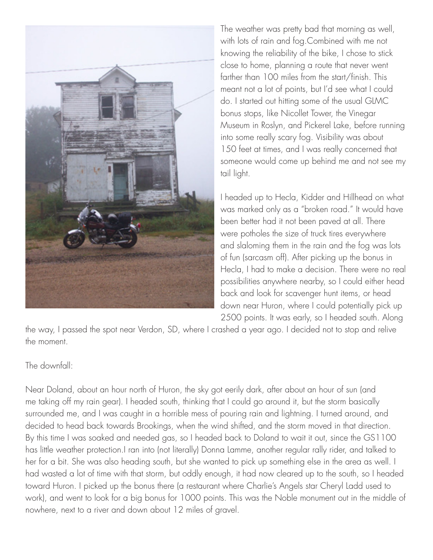

The weather was pretty bad that morning as well, with lots of rain and fog.Combined with me not knowing the reliability of the bike, I chose to stick close to home, planning a route that never went farther than 100 miles from the start/finish. This meant not a lot of points, but I'd see what I could do. I started out hitting some of the usual GLMC bonus stops, like Nicollet Tower, the Vinegar Museum in Roslyn, and Pickerel Lake, before running into some really scary fog. Visibility was about 150 feet at times, and I was really concerned that someone would come up behind me and not see my tail light.

I headed up to Hecla, Kidder and Hillhead on what was marked only as a "broken road." It would have been better had it not been paved at all. There were potholes the size of truck tires everywhere and slaloming them in the rain and the fog was lots of fun (sarcasm off). After picking up the bonus in Hecla, I had to make a decision. There were no real possibilities anywhere nearby, so I could either head back and look for scavenger hunt items, or head down near Huron, where I could potentially pick up 2500 points. It was early, so I headed south. Along

the way, I passed the spot near Verdon, SD, where I crashed a year ago. I decided not to stop and relive the moment.

#### The downfall:

Near Doland, about an hour north of Huron, the sky got eerily dark, after about an hour of sun (and me taking off my rain gear). I headed south, thinking that I could go around it, but the storm basically surrounded me, and I was caught in a horrible mess of pouring rain and lightning. I turned around, and decided to head back towards Brookings, when the wind shifted, and the storm moved in that direction. By this time I was soaked and needed gas, so I headed back to Doland to wait it out, since the GS1100 has little weather protection.I ran into (not literally) Donna Lamme, another regular rally rider, and talked to her for a bit. She was also heading south, but she wanted to pick up something else in the area as well. I had wasted a lot of time with that storm, but oddly enough, it had now cleared up to the south, so I headed toward Huron. I picked up the bonus there (a restaurant where Charlie's Angels star Cheryl Ladd used to work), and went to look for a big bonus for 1000 points. This was the Noble monument out in the middle of nowhere, next to a river and down about 12 miles of gravel.